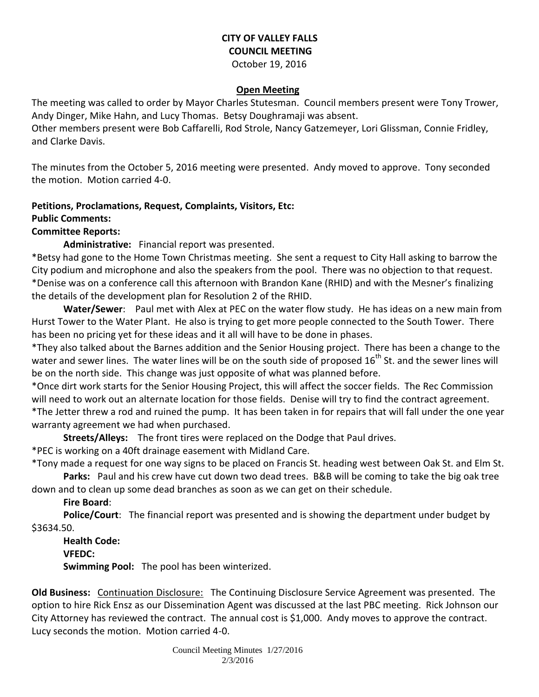#### **CITY OF VALLEY FALLS COUNCIL MEETING** October 19, 2016

# **Open Meeting**

The meeting was called to order by Mayor Charles Stutesman. Council members present were Tony Trower, Andy Dinger, Mike Hahn, and Lucy Thomas. Betsy Doughramaji was absent.

Other members present were Bob Caffarelli, Rod Strole, Nancy Gatzemeyer, Lori Glissman, Connie Fridley, and Clarke Davis.

The minutes from the October 5, 2016 meeting were presented. Andy moved to approve. Tony seconded the motion. Motion carried 4-0.

# **Petitions, Proclamations, Request, Complaints, Visitors, Etc:**

## **Public Comments:**

#### **Committee Reports:**

**Administrative:** Financial report was presented.

\*Betsy had gone to the Home Town Christmas meeting. She sent a request to City Hall asking to barrow the City podium and microphone and also the speakers from the pool. There was no objection to that request. \*Denise was on a conference call this afternoon with Brandon Kane (RHID) and with the Mesner's finalizing the details of the development plan for Resolution 2 of the RHID.

**Water/Sewer**: Paul met with Alex at PEC on the water flow study. He has ideas on a new main from Hurst Tower to the Water Plant. He also is trying to get more people connected to the South Tower. There has been no pricing yet for these ideas and it all will have to be done in phases.

\*They also talked about the Barnes addition and the Senior Housing project. There has been a change to the water and sewer lines. The water lines will be on the south side of proposed  $16<sup>th</sup>$  St. and the sewer lines will be on the north side. This change was just opposite of what was planned before.

\*Once dirt work starts for the Senior Housing Project, this will affect the soccer fields. The Rec Commission will need to work out an alternate location for those fields. Denise will try to find the contract agreement. \*The Jetter threw a rod and ruined the pump. It has been taken in for repairs that will fall under the one year warranty agreement we had when purchased.

**Streets/Alleys:** The front tires were replaced on the Dodge that Paul drives.

\*PEC is working on a 40ft drainage easement with Midland Care.

\*Tony made a request for one way signs to be placed on Francis St. heading west between Oak St. and Elm St. **Parks:** Paul and his crew have cut down two dead trees. B&B will be coming to take the big oak tree

down and to clean up some dead branches as soon as we can get on their schedule.

**Fire Board**:

**Police/Court**: The financial report was presented and is showing the department under budget by \$3634.50.

**Health Code: VFEDC: Swimming Pool:** The pool has been winterized.

**Old Business:** Continuation Disclosure: The Continuing Disclosure Service Agreement was presented. The option to hire Rick Ensz as our Dissemination Agent was discussed at the last PBC meeting. Rick Johnson our City Attorney has reviewed the contract. The annual cost is \$1,000. Andy moves to approve the contract. Lucy seconds the motion. Motion carried 4-0.